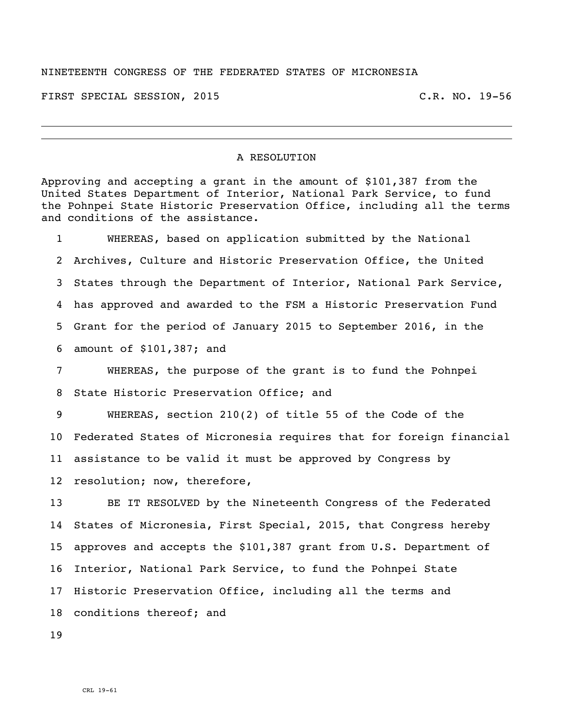## NINETEENTH CONGRESS OF THE FEDERATED STATES OF MICRONESIA

FIRST SPECIAL SESSION, 2015 C.R. NO. 19-56

## A RESOLUTION

Approving and accepting a grant in the amount of \$101,387 from the United States Department of Interior, National Park Service, to fund the Pohnpei State Historic Preservation Office, including all the terms and conditions of the assistance.

 WHEREAS, based on application submitted by the National Archives, Culture and Historic Preservation Office, the United States through the Department of Interior, National Park Service, has approved and awarded to the FSM a Historic Preservation Fund Grant for the period of January 2015 to September 2016, in the amount of \$101,387; and

 WHEREAS, the purpose of the grant is to fund the Pohnpei State Historic Preservation Office; and

 WHEREAS, section 210(2) of title 55 of the Code of the Federated States of Micronesia requires that for foreign financial assistance to be valid it must be approved by Congress by resolution; now, therefore,

 BE IT RESOLVED by the Nineteenth Congress of the Federated States of Micronesia, First Special, 2015, that Congress hereby approves and accepts the \$101,387 grant from U.S. Department of Interior, National Park Service, to fund the Pohnpei State Historic Preservation Office, including all the terms and conditions thereof; and